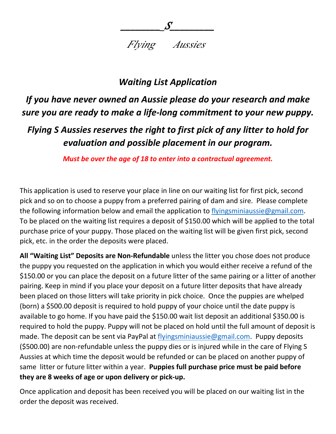*Flying Aussies*

*\_\_\_\_\_\_\_\_\_S\_\_\_\_\_\_\_\_\_*

## *Waiting List Application*

## *If you have never owned an Aussie please do your research and make sure you are ready to make a life-long commitment to your new puppy.*

## *Flying S Aussies reserves the right to first pick of any litter to hold for evaluation and possible placement in our program.*

*Must be over the age of 18 to enter into a contractual agreement.*

This application is used to reserve your place in line on our waiting list for first pick, second pick and so on to choose a puppy from a preferred pairing of dam and sire. Please complete the following information below and email the application to [flyingsminiaussie@gmail.com.](mailto:flyingsminiaussie@gmail.com) To be placed on the waiting list requires a deposit of \$150.00 which will be applied to the total purchase price of your puppy. Those placed on the waiting list will be given first pick, second pick, etc. in the order the deposits were placed.

**All "Waiting List" Deposits are Non-Refundable** unless the litter you chose does not produce the puppy you requested on the application in which you would either receive a refund of the \$150.00 or you can place the deposit on a future litter of the same pairing or a litter of another pairing. Keep in mind if you place your deposit on a future litter deposits that have already been placed on those litters will take priority in pick choice. Once the puppies are whelped (born) a \$500.00 deposit is required to hold puppy of your choice until the date puppy is available to go home. If you have paid the \$150.00 wait list deposit an additional \$350.00 is required to hold the puppy. Puppy will not be placed on hold until the full amount of deposit is made. The deposit can be sent via PayPal at [flyingsminiaussie@gmail.com.](mailto:flyingsminiaussie@gmail.com) Puppy deposits (\$500.00) are non-refundable unless the puppy dies or is injured while in the care of Flying S Aussies at which time the deposit would be refunded or can be placed on another puppy of same litter or future litter within a year. **Puppies full purchase price must be paid before they are 8 weeks of age or upon delivery or pick-up.**

Once application and deposit has been received you will be placed on our waiting list in the order the deposit was received.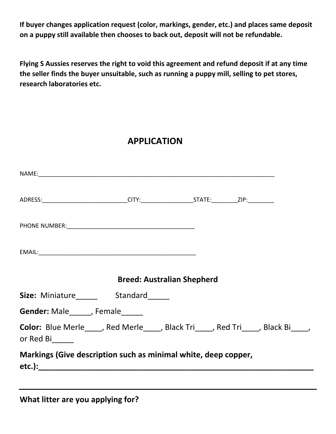**If buyer changes application request (color, markings, gender, etc.) and places same deposit on a puppy still available then chooses to back out, deposit will not be refundable.** 

**Flying S Aussies reserves the right to void this agreement and refund deposit if at any time the seller finds the buyer unsuitable, such as running a puppy mill, selling to pet stores, research laboratories etc.** 

## **APPLICATION**

| ADRESS:________________________________CITY:______________________STATE:___________ZIP:____________ |                                   |  |  |
|-----------------------------------------------------------------------------------------------------|-----------------------------------|--|--|
|                                                                                                     |                                   |  |  |
|                                                                                                     |                                   |  |  |
|                                                                                                     | <b>Breed: Australian Shepherd</b> |  |  |
|                                                                                                     |                                   |  |  |
| Gender: Male______, Female______                                                                    |                                   |  |  |
| Color: Blue Merle____, Red Merle___, Black Tri___, Red Tri___, Black Bi___,<br>or Red Bi_____       |                                   |  |  |
| Markings (Give description such as minimal white, deep copper,                                      |                                   |  |  |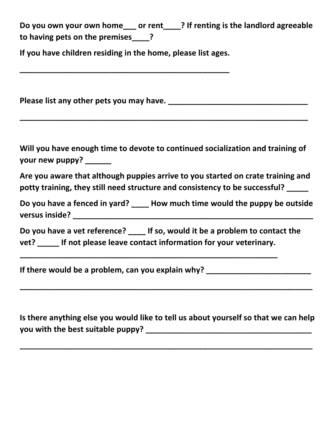**Do you own your own home\_\_\_ or rent\_\_\_\_? If renting is the landlord agreeable to having pets on the premises\_\_\_\_?** 

**If you have children residing in the home, please list ages.** 

**\_\_\_\_\_\_\_\_\_\_\_\_\_\_\_\_\_\_\_\_\_\_\_\_\_\_\_\_\_\_\_\_\_\_\_\_\_\_\_\_\_\_\_\_\_\_\_\_**

**Please list any other pets you may have.** *Please list any other pets you may have.* 

**\_\_\_\_\_\_\_\_\_\_\_\_\_\_\_\_\_\_\_\_\_\_\_\_\_\_\_\_\_\_\_\_\_\_\_\_\_\_\_\_\_\_\_\_\_\_\_\_\_\_\_\_\_\_\_\_\_\_\_\_\_\_\_\_\_\_**

**Will you have enough time to devote to continued socialization and training of your new puppy? \_\_\_\_\_\_**

**Are you aware that although puppies arrive to you started on crate training and potty training, they still need structure and consistency to be successful? \_\_\_\_\_** 

**Do you have a fenced in yard? \_\_\_\_ How much time would the puppy be outside versus inside? \_\_\_\_\_\_\_\_\_\_\_\_\_\_\_\_\_\_\_\_\_\_\_\_\_\_\_\_\_\_\_\_\_\_\_\_\_\_\_\_\_\_\_\_\_\_\_\_\_\_\_\_\_\_\_**

**Do you have a vet reference? \_\_\_\_ If so, would it be a problem to contact the vet? \_\_\_\_\_ If not please leave contact information for your veterinary.** 

**\_\_\_\_\_\_\_\_\_\_\_\_\_\_\_\_\_\_\_\_\_\_\_\_\_\_\_\_\_\_\_\_\_\_\_\_\_\_\_\_\_\_\_\_\_\_\_\_\_\_\_\_\_\_\_\_\_\_\_**

If there would be a problem, can you explain why? \_\_\_\_\_\_\_\_\_\_\_\_\_\_\_\_\_\_\_\_\_\_\_\_\_\_\_\_\_\_\_

**Is there anything else you would like to tell us about yourself so that we can help you with the best suitable puppy? \_\_\_\_\_\_\_\_\_\_\_\_\_\_\_\_\_\_\_\_\_\_\_\_\_\_\_\_\_\_\_\_\_\_\_\_\_\_**

**\_\_\_\_\_\_\_\_\_\_\_\_\_\_\_\_\_\_\_\_\_\_\_\_\_\_\_\_\_\_\_\_\_\_\_\_\_\_\_\_\_\_\_\_\_\_\_\_\_\_\_\_\_\_\_\_\_\_\_\_\_\_\_\_\_\_\_**

**\_\_\_\_\_\_\_\_\_\_\_\_\_\_\_\_\_\_\_\_\_\_\_\_\_\_\_\_\_\_\_\_\_\_\_\_\_\_\_\_\_\_\_\_\_\_\_\_\_\_\_\_\_\_\_\_\_\_\_\_\_\_\_\_\_\_\_**